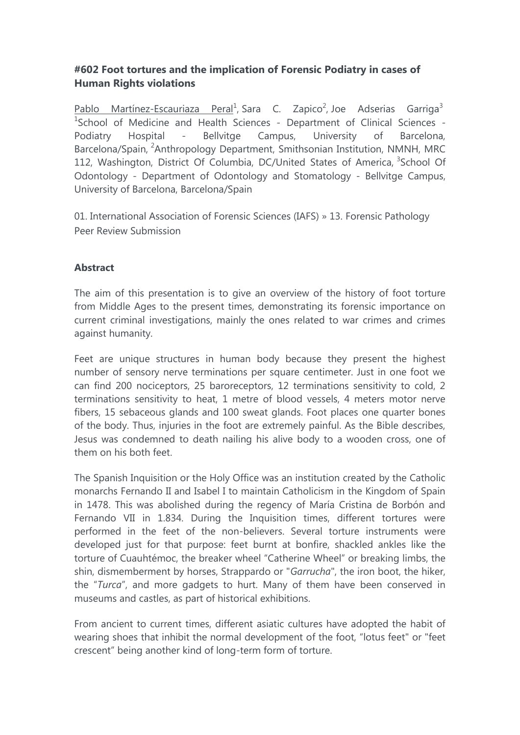## **#602 Foot tortures and the implication of Forensic Podiatry in cases of Human Rights violations**

Pablo Martínez-Escauriaza Peral<sup>1</sup>, Sara C. Zapico<sup>2</sup>, Joe Adserias Garriga<sup>3</sup> <sup>1</sup>School of Medicine and Health Sciences - Department of Clinical Sciences -Podiatry Hospital - Bellvitge Campus, University of Barcelona, Barcelona/Spain, <sup>2</sup>Anthropology Department, Smithsonian Institution, NMNH, MRC 112, Washington, District Of Columbia, DC/United States of America, <sup>3</sup>School Of Odontology - Department of Odontology and Stomatology - Bellvitge Campus, University of Barcelona, Barcelona/Spain

01. International Association of Forensic Sciences (IAFS) » 13. Forensic Pathology Peer Review Submission

## **Abstract**

The aim of this presentation is to give an overview of the history of foot torture from Middle Ages to the present times, demonstrating its forensic importance on current criminal investigations, mainly the ones related to war crimes and crimes against humanity.

Feet are unique structures in human body because they present the highest number of sensory nerve terminations per square centimeter. Just in one foot we can find 200 nociceptors, 25 baroreceptors, 12 terminations sensitivity to cold, 2 terminations sensitivity to heat, 1 metre of blood vessels, 4 meters motor nerve fibers, 15 sebaceous glands and 100 sweat glands. Foot places one quarter bones of the body. Thus, injuries in the foot are extremely painful. As the Bible describes, Jesus was condemned to death nailing his alive body to a wooden cross, one of them on his both feet.

The Spanish Inquisition or the Holy Office was an institution created by the Catholic monarchs Fernando II and Isabel I to maintain Catholicism in the Kingdom of Spain in 1478. This was abolished during the regency of María Cristina de Borbón and Fernando VII in 1.834. During the Inquisition times, different tortures were performed in the feet of the non-believers. Several torture instruments were developed just for that purpose: feet burnt at bonfire, shackled ankles like the torture of Cuauhtémoc, the breaker wheel "Catherine Wheel" or breaking limbs, the shin, dismemberment by horses, Strappardo or "*Garrucha*", the iron boot, the hiker, the "*Turca*", and more gadgets to hurt. Many of them have been conserved in museums and castles, as part of historical exhibitions.

From ancient to current times, different asiatic cultures have adopted the habit of wearing shoes that inhibit the normal development of the foot, "lotus feet" or "feet crescent" being another kind of long-term form of torture.